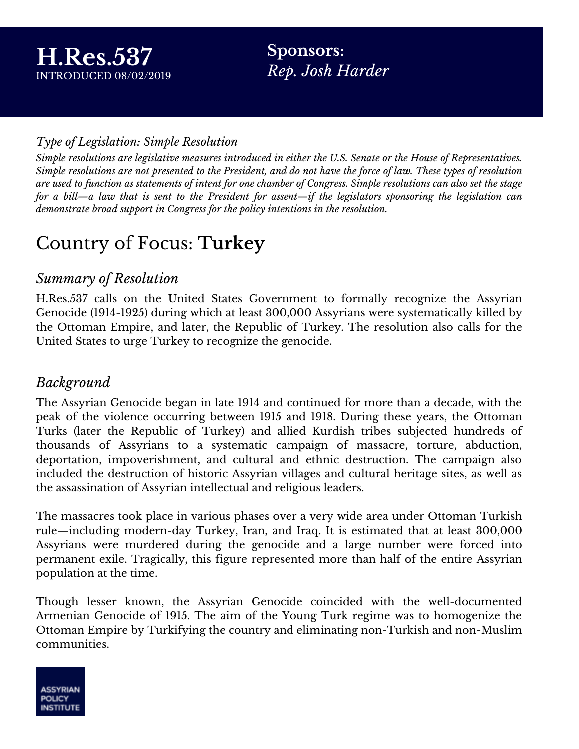**Sponsors:** *Rep. Josh Harder*

### *Type of Legislation: Simple Resolution*

Simple resolutions are legislative measures introduced in either the U.S. Senate or the House of Representatives. Simple resolutions are not presented to the President, and do not have the force of law. These types of resolution are used to function as statements of intent for one chamber of Congress. Simple resolutions can also set the stage for a bill—a law that is sent to the President for assent—if the legislators sponsoring the legislation can *demonstrate broad support in Congress for the policy intentions in the resolution.*

# Country of Focus: **Turkey**

### *Summary of Resolution*

H.Res.537 calls on the United States Government to formally recognize the Assyrian Genocide (1914-1925) during which at least 300,000 Assyrians were systematically killed by the Ottoman Empire, and later, the Republic of Turkey. The resolution also calls for the United States to urge Turkey to recognize the genocide.

### *Background*

The Assyrian Genocide began in late 1914 and continued for more than a decade, with the peak of the violence occurring between 1915 and 1918. During these years, the Ottoman Turks (later the Republic of Turkey) and allied Kurdish tribes subjected hundreds of thousands of Assyrians to a systematic campaign of massacre, torture, abduction, deportation, impoverishment, and cultural and ethnic destruction. The campaign also included the destruction of historic Assyrian villages and cultural heritage sites, as well as the assassination of Assyrian intellectual and religious leaders.

The massacres took place in various phases over a very wide area under Ottoman Turkish rule—including modern-day Turkey, Iran, and Iraq. It is estimated that at least 300,000 Assyrians were murdered during the genocide and a large number were forced into permanent exile. Tragically, this figure represented more than half of the entire Assyrian population at the time.

Though lesser known, the Assyrian Genocide coincided with the well-documented Armenian Genocide of 1915. The aim of the Young Turk regime was to homogenize the Ottoman Empire by Turkifying the country and eliminating non-Turkish and non-Muslim communities.

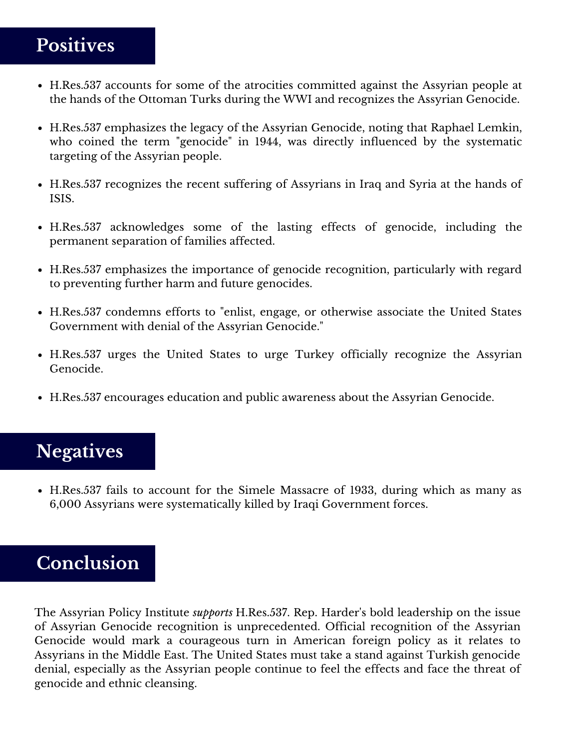## **Positives**

- H.Res.537 accounts for some of the atrocities committed against the Assyrian people at the hands of the Ottoman Turks during the WWI and recognizes the Assyrian Genocide.
- H.Res.537 emphasizes the legacy of the Assyrian Genocide, noting that Raphael Lemkin, who coined the term "genocide" in 1944, was directly influenced by the systematic targeting of the Assyrian people.
- H.Res.537 recognizes the recent suffering of Assyrians in Iraq and Syria at the hands of ISIS.
- H.Res.537 acknowledges some of the lasting effects of genocide, including the permanent separation of families affected.
- H.Res.537 emphasizes the importance of genocide recognition, particularly with regard to preventing further harm and future genocides.
- H.Res.537 condemns efforts to "enlist, engage, or otherwise associate the United States Government with denial of the Assyrian Genocide."
- H.Res.537 urges the United States to urge Turkey officially recognize the Assyrian Genocide.
- H.Res.537 encourages education and public awareness about the Assyrian Genocide.

# **Negatives**

H.Res.537 fails to account for the Simele Massacre of 1933, during which as many as 6,000 Assyrians were systematically killed by Iraqi Government forces.

### **Conclusion**

The Assyrian Policy Institute *supports* H.Res.537. Rep. Harder's bold leadership on the issue of Assyrian Genocide recognition is unprecedented. Official recognition of the Assyrian Genocide would mark a courageous turn in American foreign policy as it relates to Assyrians in the Middle East. The United States must take a stand against Turkish genocide denial, especially as the Assyrian people continue to feel the effects and face the threat of genocide and ethnic cleansing.